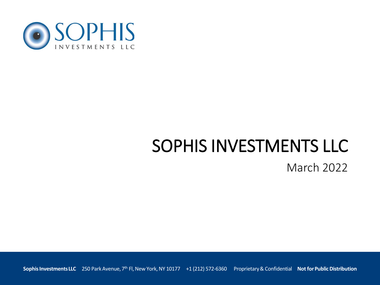

# SOPHIS INVESTMENTS LLC

March 2022

**Sophis Investments LLC** 250 Park Avenue, 7th Fl, New York, NY 10177 +1 (212) 572-6360 Proprietary & Confidential **Not for Public Distribution**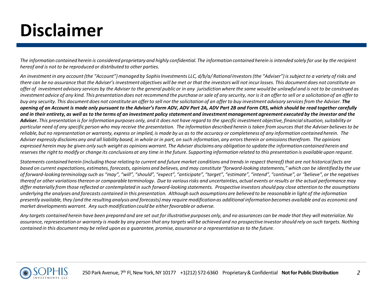# **Disclaimer**

*The information contained herein is considered proprietary and highly confidential. The information contained herein is intended solely for use by the recipient hereof and is not to be reproduced or distributed to other parties.* 

*An investment in any account (the "Account") managed by Sophis Investments LLC, d/b/a/ Rational Investors (the "Adviser") is subject to a variety of risks and there can be no assurance that the Adviser's investment objectives will be met or that the investors will not incur losses. This document does not constitute an offer of investment advisory services by the Adviser to the general public or in any jurisdiction where the same would be unlawful and is not to be construed as investment advice of any kind. This presentation does not recommend the purchase or sale of any security, nor is it an offer to sell or a solicitation of an offer to buy any security. This document does not constitute an offer to sell nor the solicitation of an offer to buy investment advisory services from the Adviser. The opening of an Account is made only pursuant to the Adviser's Form ADV, ADV Part 2A, ADV Part 2B and Form CRS, which should be read together carefully and in their entirety, as well as to the terms of an investment policy statement and investment management agreement executed by the investor and the Adviser. This presentation is for information purposes only, and it does not have regard to the specific investment objective, financial situation, suitability or particular need of any specific person who may receive the presentation. The information described herein is taken from sources that the Adviser believes to be reliable, but no representation or warranty, express or implied, is made by us as to the accuracy or completeness of any information contained herein. The Adviser expressly disclaims any and all liability based, in whole or in part, on such information, any errors therein or omissions therefrom. The opinions expressed herein may be given only such weight as opinions warrant. The Adviser disclaims any obligation to update the information contained herein and reserves the right to modify or change its conclusions at any time in the future. Supporting information related to this presentation is available upon request.* 

*Statements contained herein (including those relating to current and future market conditions and trends in respect thereof) that are not historical facts are based on current expectations, estimates, forecasts, opinions and believes, and may constitute "forward-looking statements," which can be identified by the use of forward-looking terminology such as "may", "will", "should", "expect", "anticipate", "target", "estimate", "intend", "continue", or "believe", or the negatives thereof or other variations thereon or comparable terminology. Due to various risks and uncertainties, actual events or results or the actual performance may differ materially from those reflected or contemplated in such forward-looking statements. Prospective investors should pay close attention to the assumptions underlying the analyses and forecasts contained in this presentation. Although such assumptions are believed to be reasonable in light of the information presently available, they (and the resulting analysis and forecasts) may require modification as additional information becomes available and as economic and market developments warrant. Any such modification could be either favorable or adverse.* 

*Any targets contained herein have been prepared and are set out for illustrative purposes only, and no assurances can be made that they will materialize. No assurance, representation or warranty is made by any person that any targets will be achieved and no prospective investor should rely on such targets. Nothing contained in this document may be relied upon as a guarantee, promise, assurance or a representation as to the future.* 

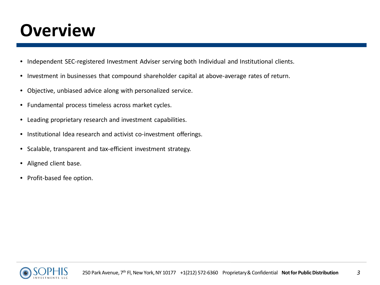#### **Overview**

- Independent SEC-registered Investment Adviser serving both Individual and Institutional clients.
- Investment in businesses that compound shareholder capital at above-average rates of return.
- Objective, unbiased advice along with personalized service.
- Fundamental process timeless across market cycles.
- Leading proprietary research and investment capabilities.
- Institutional Idea research and activist co-investment offerings.
- Scalable, transparent and tax-efficient investment strategy.
- Aligned client base.
- Profit-based fee option.

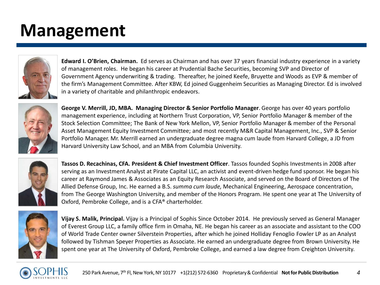## **Management**



**Edward I. O'Brien, Chairman.** Ed serves as Chairman and has over 37 years financial industry experience in a variety of management roles. He began his career at Prudential Bache Securities, becoming SVP and Director of Government Agency underwriting & trading. Thereafter, he joined Keefe, Bruyette and Woods as EVP & member of the firm's Management Committee. After KBW, Ed joined Guggenheim Securities as Managing Director. Ed is involved in a variety of charitable and philanthropic endeavors.



**George V. Merrill, JD, MBA. Managing Director & Senior Portfolio Manager**. George has over 40 years portfolio management experience, including at Northern Trust Corporation, VP, Senior Portfolio Manager & member of the Stock Selection Committee; The Bank of New York Mellon, VP, Senior Portfolio Manager & member of the Personal Asset Management Equity Investment Committee; and most recently M&R Capital Management, Inc., SVP & Senior Portfolio Manager. Mr. Merrill earned an undergraduate degree magna cum laude from Harvard College, a JD from Harvard University Law School, and an MBA from Columbia University.



**Tassos D. Recachinas, CFA. President & Chief Investment Officer**. Tassos founded Sophis Investments in 2008 after serving as an Investment Analyst at Pirate Capital LLC, an activist and event-driven hedge fund sponsor. He began his career at Raymond James & Associates as an Equity Research Associate, and served on the Board of Directors of The Allied Defense Group, Inc. He earned a B.S. *summa cum laude,* Mechanical Engineering, Aerospace concentration, from The George Washington University, and member of the Honors Program. He spent one year at The University of Oxford, Pembroke College, and is a CFA® charterholder.



**Vijay S. Malik, Principal.** Vijay is a Principal of Sophis Since October 2014. He previously served as General Manager of Everest Group LLC, a family office firm in Omaha, NE. He began his career as an associate and assistant to the COO of World Trade Center owner Silverstein Properties, after which he joined Holliday Fenoglio Fowler LP as an Analyst followed by Tishman Speyer Properties as Associate. He earned an undergraduate degree from Brown University. He spent one year at The University of Oxford, Pembroke College, and earned a law degree from Creighton University.

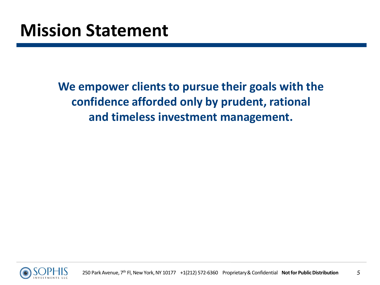**We empower clients to pursue their goals with the confidence afforded only by prudent, rational and timeless investment management.** 

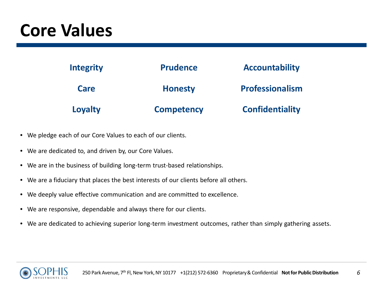## **Core Values**

| <b>Integrity</b> | <b>Prudence</b>   | <b>Accountability</b>  |
|------------------|-------------------|------------------------|
| Care             | <b>Honesty</b>    | <b>Professionalism</b> |
| Loyalty          | <b>Competency</b> | <b>Confidentiality</b> |

- We pledge each of our Core Values to each of our clients.
- We are dedicated to, and driven by, our Core Values.
- We are in the business of building long-term trust-based relationships.
- We are a fiduciary that places the best interests of our clients before all others.
- We deeply value effective communication and are committed to excellence.
- We are responsive, dependable and always there for our clients.
- We are dedicated to achieving superior long-term investment outcomes, rather than simply gathering assets.

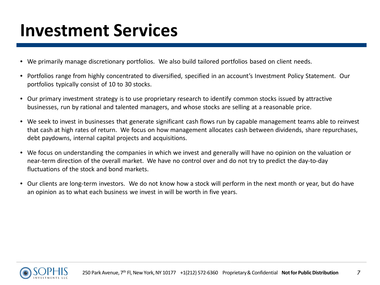#### **Investment Services**

- We primarily manage discretionary portfolios. We also build tailored portfolios based on client needs.
- Portfolios range from highly concentrated to diversified, specified in an account's Investment Policy Statement. Our portfolios typically consist of 10 to 30 stocks.
- Our primary investment strategy is to use proprietary research to identify common stocks issued by attractive businesses, run by rational and talented managers, and whose stocks are selling at a reasonable price.
- We seek to invest in businesses that generate significant cash flows run by capable management teams able to reinvest that cash at high rates of return. We focus on how management allocates cash between dividends, share repurchases, debt paydowns, internal capital projects and acquisitions.
- We focus on understanding the companies in which we invest and generally will have no opinion on the valuation or near-term direction of the overall market. We have no control over and do not try to predict the day-to-day fluctuations of the stock and bond markets.
- Our clients are long-term investors. We do not know how a stock will perform in the next month or year, but do have an opinion as to what each business we invest in will be worth in five years.

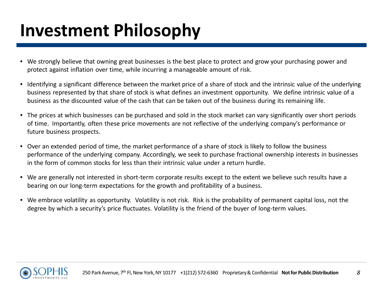# **Investment Philosophy**

- We strongly believe that owning great businesses is the best place to protect and grow your purchasing power and protect against inflation over time, while incurring a manageable amount of risk.
- Identifying a significant difference between the market price of a share of stock and the intrinsic value of the underlying business represented by that share of stock is what defines an investment opportunity. We define intrinsic value of a business as the discounted value of the cash that can be taken out of the business during its remaining life.
- The prices at which businesses can be purchased and sold in the stock market can vary significantly over short periods of time. Importantly, often these price movements are not reflective of the underlying company's performance or future business prospects.
- Over an extended period of time, the market performance of a share of stock is likely to follow the business performance of the underlying company. Accordingly, we seek to purchase fractional ownership interests in businesses in the form of common stocks for less than their intrinsic value under a return hurdle.
- We are generally not interested in short-term corporate results except to the extent we believe such results have a bearing on our long-term expectations for the growth and profitability of a business.
- We embrace volatility as opportunity. Volatility is not risk. Risk is the probability of permanent capital loss, not the degree by which a security's price fluctuates. Volatility is the friend of the buyer of long-term values.

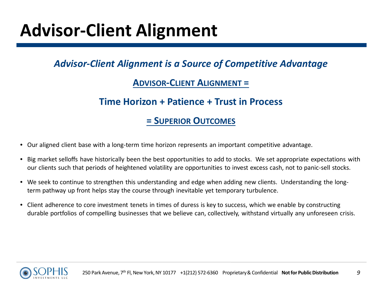## **Advisor-Client Alignment**

#### *Advisor-Client Alignment is a Source of Competitive Advantage*

#### **ADVISOR-CLIENT ALIGNMENT =**

#### **Time Horizon + Patience + Trust in Process**

#### **= SUPERIOR OUTCOMES**

- Our aligned client base with a long-term time horizon represents an important competitive advantage.
- Big market selloffs have historically been the best opportunities to add to stocks. We set appropriate expectations with our clients such that periods of heightened volatility are opportunities to invest excess cash, not to panic-sell stocks.
- We seek to continue to strengthen this understanding and edge when adding new clients. Understanding the longterm pathway up front helps stay the course through inevitable yet temporary turbulence.
- Client adherence to core investment tenets in times of duress is key to success, which we enable by constructing durable portfolios of compelling businesses that we believe can, collectively, withstand virtually any unforeseen crisis.

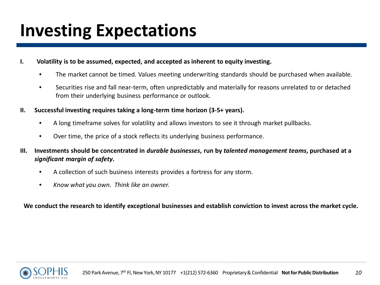## **Investing Expectations**

- **I. Volatility is to be assumed, expected, and accepted as inherent to equity investing.** 
	- The market cannot be timed. Values meeting underwriting standards should be purchased when available.
	- Securities rise and fall near-term, often unpredictably and materially for reasons unrelated to or detached from their underlying business performance or outlook.
- **II. Successful investing requires taking a long-term time horizon (3-5+ years).** 
	- A long timeframe solves for volatility and allows investors to see it through market pullbacks.
	- Over time, the price of a stock reflects its underlying business performance.
- **III. Investments should be concentrated in** *durable businesses***, run by** *talented management teams***, purchased at a**  *significant margin of safety***.** 
	- A collection of such business interests provides a fortress for any storm.
	- *Know what you own. Think like an owner.*

**We conduct the research to identify exceptional businesses and establish conviction to invest across the market cycle.** 

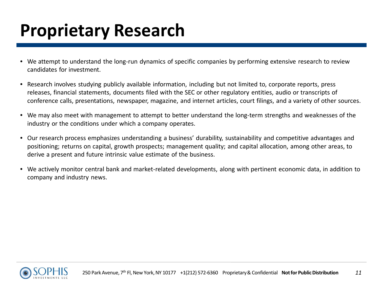## **Proprietary Research**

- We attempt to understand the long-run dynamics of specific companies by performing extensive research to review candidates for investment.
- Research involves studying publicly available information, including but not limited to, corporate reports, press releases, financial statements, documents filed with the SEC or other regulatory entities, audio or transcripts of conference calls, presentations, newspaper, magazine, and internet articles, court filings, and a variety of other sources.
- We may also meet with management to attempt to better understand the long-term strengths and weaknesses of the industry or the conditions under which a company operates.
- Our research process emphasizes understanding a business' durability, sustainability and competitive advantages and positioning; returns on capital, growth prospects; management quality; and capital allocation, among other areas, to derive a present and future intrinsic value estimate of the business.
- We actively monitor central bank and market-related developments, along with pertinent economic data, in addition to company and industry news.

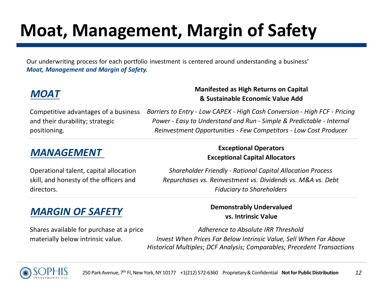# **Moat, Management, Margin of Safety**

 Our underwriting process for each portfolio investment is centered around understanding a business' *Moat, Management and Margin of Safety.* 

Competitive advantages of a business and their durability; strategic positioning.

#### **MOAT MOAT MANUS Manifested as High Returns on Capital MOAT & Sustainable Economic Value Add**

*Barriers to Entry - Low CAPEX - High Cash Conversion - High FCF - Pricing Power - Easy to Understand and Run - Simple & Predictable - Internal Reinvestment Opportunities - Few Competitors - Low Cost Producer*

Operational talent, capital allocation skill, and honesty of the officers and directors.

#### *MANAGEMENT* **Exceptional Operators Exceptional Capital Allocators**

*Shareholder Friendly - Rational Capital Allocation Process Repurchases vs. Reinvestment vs. Dividends vs. M&A vs. Debt Fiduciary to Shareholders* 

#### *MARGIN OF SAFETY* **Demonstrably Undervalued**

Shares available for purchase at a price materially below intrinsic value.

**vs. Intrinsic Value**

*Adherence to Absolute IRR Threshold Invest When Prices Far Below Intrinsic Value, Sell When Far Above Historical Multiples; DCF Analysis; Comparables; Precedent Transactions*

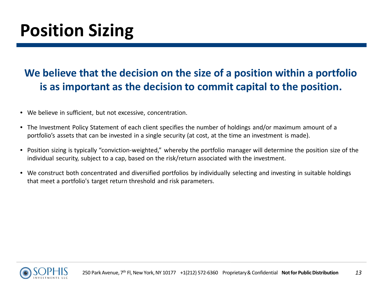#### **We believe that the decision on the size of a position within a portfolio is as important as the decision to commit capital to the position.**

- We believe in sufficient, but not excessive, concentration.
- The Investment Policy Statement of each client specifies the number of holdings and/or maximum amount of a portfolio's assets that can be invested in a single security (at cost, at the time an investment is made).
- Position sizing is typically "conviction-weighted," whereby the portfolio manager will determine the position size of the individual security, subject to a cap, based on the risk/return associated with the investment.
- We construct both concentrated and diversified portfolios by individually selecting and investing in suitable holdings that meet a portfolio's target return threshold and risk parameters.

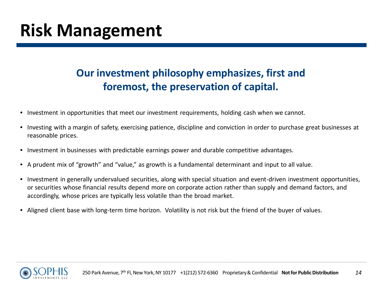#### **Our investment philosophy emphasizes, first and foremost, the preservation of capital.**

- Investment in opportunities that meet our investment requirements, holding cash when we cannot.
- Investing with a margin of safety, exercising patience, discipline and conviction in order to purchase great businesses at reasonable prices.
- Investment in businesses with predictable earnings power and durable competitive advantages.
- A prudent mix of "growth" and "value," as growth is a fundamental determinant and input to all value.
- Investment in generally undervalued securities, along with special situation and event-driven investment opportunities, or securities whose financial results depend more on corporate action rather than supply and demand factors, and accordingly, whose prices are typically less volatile than the broad market.
- Aligned client base with long-term time horizon. Volatility is not risk but the friend of the buyer of values.

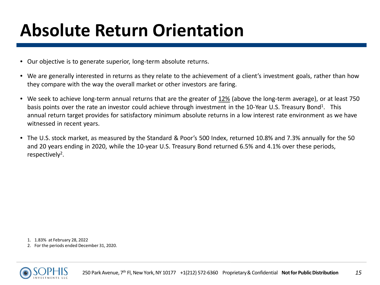# **Absolute Return Orientation**

- Our objective is to generate superior, long-term absolute returns.
- We are generally interested in returns as they relate to the achievement of a client's investment goals, rather than how they compare with the way the overall market or other investors are faring.
- We seek to achieve long-term annual returns that are the greater of 12% (above the long-term average), or at least 750 basis points over the rate an investor could achieve through investment in the 10-Year U.S. Treasury Bond<sup>1</sup>. This annual return target provides for satisfactory minimum absolute returns in a low interest rate environment as we have witnessed in recent years.
- The U.S. stock market, as measured by the Standard & Poor's 500 Index, returned 10.8% and 7.3% annually for the 50 and 20 years ending in 2020, while the 10-year U.S. Treasury Bond returned 6.5% and 4.1% over these periods, respectively<sup>2</sup>.

1. 1.83% at February 28, 2022

2. For the periods ended December 31, 2020.

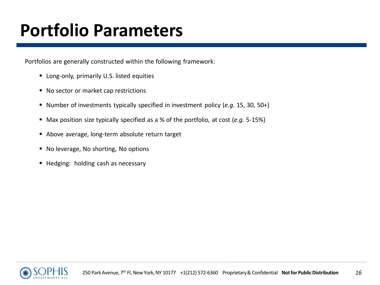## **Portfolio Parameters**

Portfolios are generally constructed within the following framework:

- **Long-only, primarily U.S. listed equities**
- No sector or market cap restrictions
- Number of investments typically specified in investment policy (*e.g.* 15, 30, 50+)
- Max position size typically specified as a % of the portfolio, at cost (*e.g.* 5-15%)
- Above average, long-term absolute return target
- No leverage, No shorting, No options
- Hedging: holding cash as necessary

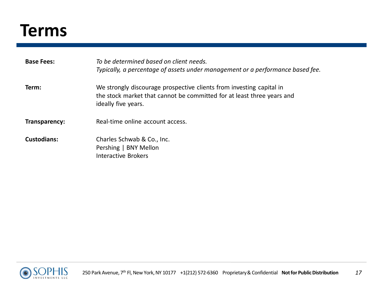#### **Terms**

| <b>Base Fees:</b>  | To be determined based on client needs.<br>Typically, a percentage of assets under management or a performance based fee.                                             |
|--------------------|-----------------------------------------------------------------------------------------------------------------------------------------------------------------------|
| Term:              | We strongly discourage prospective clients from investing capital in<br>the stock market that cannot be committed for at least three years and<br>ideally five years. |
| Transparency:      | Real-time online account access.                                                                                                                                      |
| <b>Custodians:</b> | Charles Schwab & Co., Inc.<br>Pershing   BNY Mellon<br>Interactive Brokers                                                                                            |